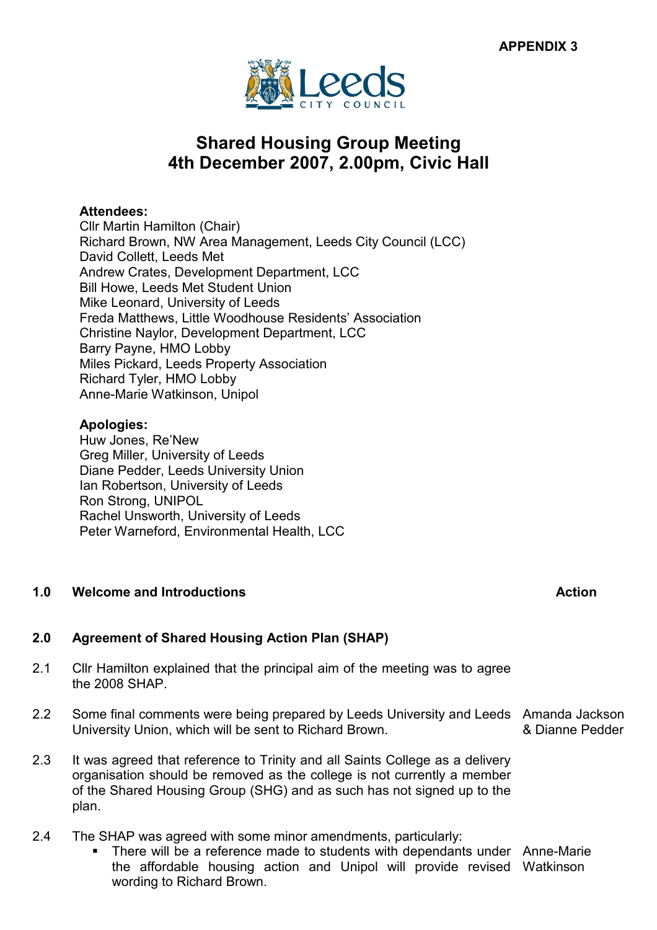

# Shared Housing Group Meeting 4th December 2007, 2.00pm, Civic Hall

# Attendees:

Cllr Martin Hamilton (Chair) Richard Brown, NW Area Management, Leeds City Council (LCC) David Collett, Leeds Met Andrew Crates, Development Department, LCC Bill Howe, Leeds Met Student Union Mike Leonard, University of Leeds Freda Matthews, Little Woodhouse Residents' Association Christine Naylor, Development Department, LCC Barry Payne, HMO Lobby Miles Pickard, Leeds Property Association Richard Tyler, HMO Lobby Anne-Marie Watkinson, Unipol

# Apologies:

Huw Jones, Re'New Greg Miller, University of Leeds Diane Pedder, Leeds University Union Ian Robertson, University of Leeds Ron Strong, UNIPOL Rachel Unsworth, University of Leeds Peter Warneford, Environmental Health, LCC

# 1.0 Welcome and Introductions Action and Action and Action and Action and Action and Action and Action and Action and Action and Action and Action and Action and Action and Action and Action and Action and Action and Actio

# 2.0 Agreement of Shared Housing Action Plan (SHAP)

- 2.1 Cllr Hamilton explained that the principal aim of the meeting was to agree the 2008 SHAP.
- 2.2 Some final comments were being prepared by Leeds University and Leeds Amanda Jackson University Union, which will be sent to Richard Brown. & Dianne Pedder
- 2.3 It was agreed that reference to Trinity and all Saints College as a delivery organisation should be removed as the college is not currently a member of the Shared Housing Group (SHG) and as such has not signed up to the plan.
- 2.4 The SHAP was agreed with some minor amendments, particularly:
	- There will be a reference made to students with dependants under Anne-Marie the affordable housing action and Unipol will provide revised Watkinson wording to Richard Brown.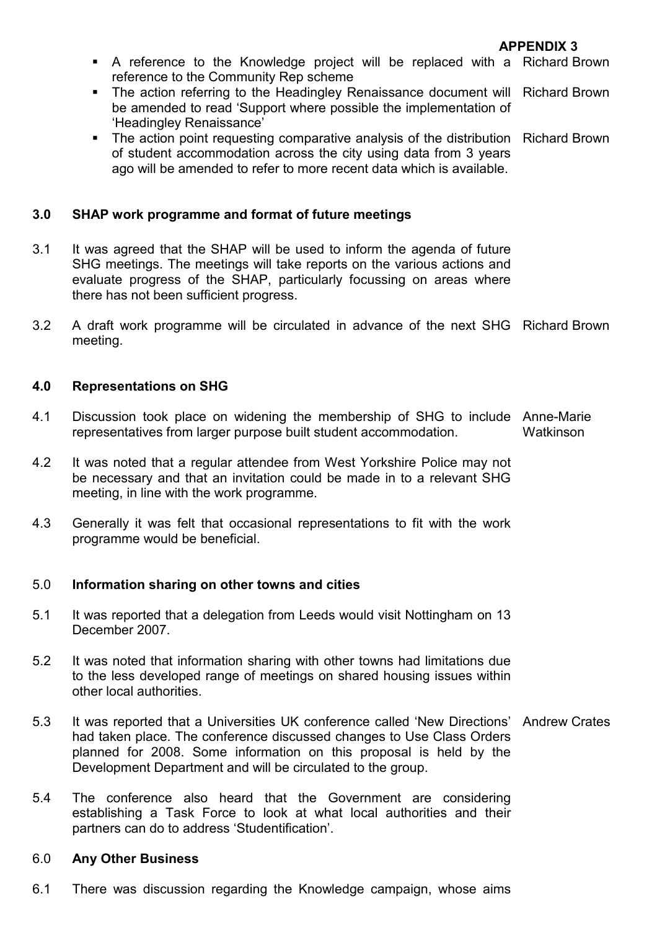- A reference to the Knowledge project will be replaced with a Richard Brown reference to the Community Rep scheme
- The action referring to the Headingley Renaissance document will Richard Brown be amended to read 'Support where possible the implementation of 'Headingley Renaissance'
- The action point requesting comparative analysis of the distribution Richard Brown of student accommodation across the city using data from 3 years ago will be amended to refer to more recent data which is available.

#### 3.0 SHAP work programme and format of future meetings

- 3.1 It was agreed that the SHAP will be used to inform the agenda of future SHG meetings. The meetings will take reports on the various actions and evaluate progress of the SHAP, particularly focussing on areas where there has not been sufficient progress.
- 3.2 A draft work programme will be circulated in advance of the next SHG Richard Brown meeting.

#### 4.0 Representations on SHG

- 4.1 Discussion took place on widening the membership of SHG to include Anne-Marie representatives from larger purpose built student accommodation. Watkinson
- 4.2 It was noted that a regular attendee from West Yorkshire Police may not be necessary and that an invitation could be made in to a relevant SHG meeting, in line with the work programme.
- 4.3 Generally it was felt that occasional representations to fit with the work programme would be beneficial.

#### 5.0 Information sharing on other towns and cities

- 5.1 It was reported that a delegation from Leeds would visit Nottingham on 13 December 2007.
- 5.2 It was noted that information sharing with other towns had limitations due to the less developed range of meetings on shared housing issues within other local authorities.
- 5.3 It was reported that a Universities UK conference called 'New Directions' Andrew Crates had taken place. The conference discussed changes to Use Class Orders planned for 2008. Some information on this proposal is held by the Development Department and will be circulated to the group.
- 5.4 The conference also heard that the Government are considering establishing a Task Force to look at what local authorities and their partners can do to address 'Studentification'.

#### 6.0 Any Other Business

6.1 There was discussion regarding the Knowledge campaign, whose aims